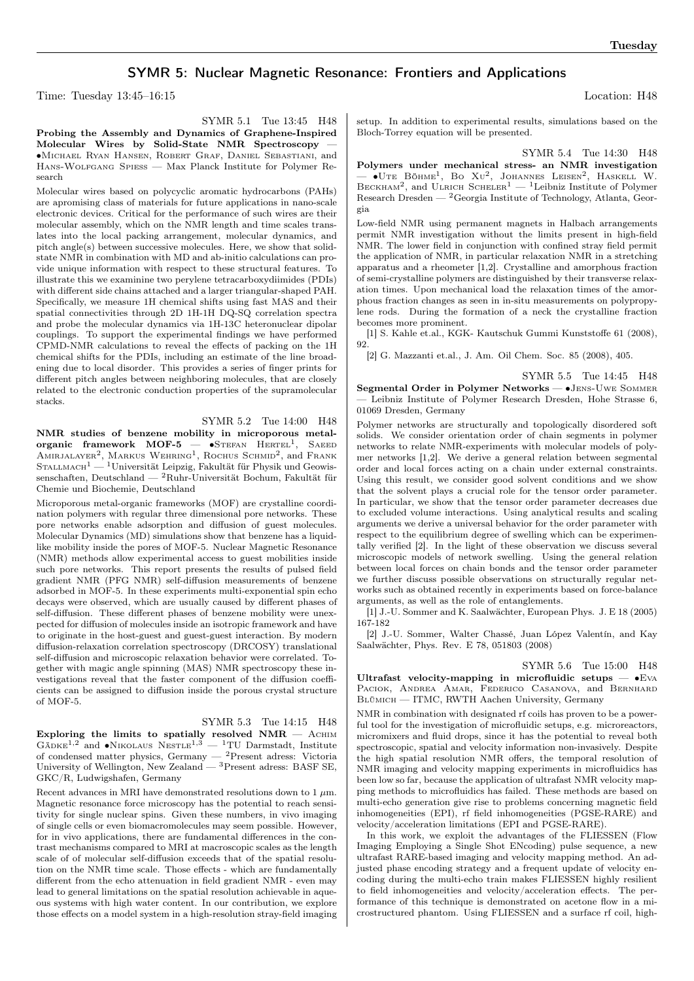## SYMR 5: Nuclear Magnetic Resonance: Frontiers and Applications

Time: Tuesday  $13:45-16:15$  Location: H48

SYMR 5.1 Tue 13:45 H48 Probing the Assembly and Dynamics of Graphene-Inspired Molecular Wires by Solid-State NMR Spectroscopy — ∙Michael Ryan Hansen, Robert Graf, Daniel Sebastiani, and Hans-Wolfgang Spiess — Max Planck Institute for Polymer Research

Molecular wires based on polycyclic aromatic hydrocarbons (PAHs) are apromising class of materials for future applications in nano-scale electronic devices. Critical for the performance of such wires are their molecular assembly, which on the NMR length and time scales translates into the local packing arrangement, molecular dynamics, and pitch angle(s) between successive molecules. Here, we show that solidstate NMR in combination with MD and ab-initio calculations can provide unique information with respect to these structural features. To illustrate this we examinine two perylene tetracarboxydiimides (PDIs) with different side chains attached and a larger triangular-shaped PAH. Specifically, we measure 1H chemical shifts using fast MAS and their spatial connectivities through 2D 1H-1H DQ-SQ correlation spectra and probe the molecular dynamics via 1H-13C heteronuclear dipolar couplings. To support the experimental findings we have performed CPMD-NMR calculations to reveal the effects of packing on the 1H chemical shifts for the PDIs, including an estimate of the line broadening due to local disorder. This provides a series of finger prints for different pitch angles between neighboring molecules, that are closely related to the electronic conduction properties of the supramolecular stacks.

## SYMR 5.2 Tue 14:00 H48

NMR studies of benzene mobility in microporous metal- $\textbf{organic}$  framework MOF-5 —  $\bullet$ Stefan Hertel<sup>1</sup>, Saeed  $A$ mirjalayer<sup>2</sup>, Markus Wehring<sup>1</sup>, Rochus Schmid<sup>2</sup>, and Frank STALLMACH<sup>1</sup> — <sup>1</sup>Universität Leipzig, Fakultät für Physik und Geowissenschaften, Deutschland — <sup>2</sup>Ruhr-Universität Bochum, Fakultät für Chemie und Biochemie, Deutschland

Microporous metal-organic frameworks (MOF) are crystalline coordination polymers with regular three dimensional pore networks. These pore networks enable adsorption and diffusion of guest molecules. Molecular Dynamics (MD) simulations show that benzene has a liquidlike mobility inside the pores of MOF-5. Nuclear Magnetic Resonance (NMR) methods allow experimental access to guest mobilities inside such pore networks. This report presents the results of pulsed field gradient NMR (PFG NMR) self-diffusion measurements of benzene adsorbed in MOF-5. In these experiments multi-exponential spin echo decays were observed, which are usually caused by different phases of self-diffusion. These different phases of benzene mobility were unexpected for diffusion of molecules inside an isotropic framework and have to originate in the host-guest and guest-guest interaction. By modern diffusion-relaxation correlation spectroscopy (DRCOSY) translational self-diffusion and microscopic relaxation behavior were correlated. Together with magic angle spinning (MAS) NMR spectroscopy these investigations reveal that the faster component of the diffusion coefficients can be assigned to diffusion inside the porous crystal structure of MOF-5.

## SYMR 5.3 Tue 14:15 H48

Exploring the limits to spatially resolved  $NMR - ACHIM$ GÄDKE<sup>1,2</sup> and •NIKOLAUS NESTLE<sup>1,3</sup> — <sup>1</sup>TU Darmstadt, Institute of condensed matter physics, Germany — <sup>2</sup>Present adress: Victoria University of Wellington, New Zealand — <sup>3</sup>Present adress: BASF SE, GKC/R, Ludwigshafen, Germany

Recent advances in MRI have demonstrated resolutions down to 1  $\mu$ m. Magnetic resonance force microscopy has the potential to reach sensitivity for single nuclear spins. Given these numbers, in vivo imaging of single cells or even biomacromolecules may seem possible. However, for in vivo applications, there are fundamental differences in the contrast mechanisms compared to MRI at macroscopic scales as the length scale of of molecular self-diffusion exceeds that of the spatial resolution on the NMR time scale. Those effects - which are fundamentally different from the echo attenuation in field gradient NMR - even may lead to general limitations on the spatial resolution achievable in aqueous systems with high water content. In our contribution, we explore those effects on a model system in a high-resolution stray-field imaging

setup. In addition to experimental results, simulations based on the Bloch-Torrey equation will be presented.

SYMR 5.4 Tue 14:30 H48

Polymers under mechanical stress- an NMR investigation — ∙Ute Böhme<sup>1</sup> , Bo Xu<sup>2</sup> , Johannes Leisen<sup>2</sup> , Haskell W. BECKHAM<sup>2</sup>, and ULRICH SCHELER<sup>1</sup> — <sup>1</sup>Leibniz Institute of Polymer Research Dresden —  $^2\mbox{Georgia Institute of Technology, Atlanta, Geor-}$ gia

Low-field NMR using permanent magnets in Halbach arrangements permit NMR investigation without the limits present in high-field NMR. The lower field in conjunction with confined stray field permit the application of NMR, in particular relaxation NMR in a stretching apparatus and a rheometer [1,2]. Crystalline and amorphous fraction of semi-crystalline polymers are distinguished by their transverse relaxation times. Upon mechanical load the relaxation times of the amorphous fraction changes as seen in in-situ measurements on polypropylene rods. During the formation of a neck the crystalline fraction becomes more prominent.

[1] S. Kahle et.al., KGK- Kautschuk Gummi Kunststoffe 61 (2008), 92.

[2] G. Mazzanti et.al., J. Am. Oil Chem. Soc. 85 (2008), 405.

SYMR 5.5 Tue 14:45 H48 Segmental Order in Polymer Networks — ∙Jens-Uwe Sommer — Leibniz Institute of Polymer Research Dresden, Hohe Strasse 6, 01069 Dresden, Germany

Polymer networks are structurally and topologically disordered soft solids. We consider orientation order of chain segments in polymer networks to relate NMR-experiments with molecular models of polymer networks [1,2]. We derive a general relation between segmental order and local forces acting on a chain under external constraints. Using this result, we consider good solvent conditions and we show that the solvent plays a crucial role for the tensor order parameter. In particular, we show that the tensor order parameter decreases due to excluded volume interactions. Using analytical results and scaling arguments we derive a universal behavior for the order parameter with respect to the equilibrium degree of swelling which can be experimentally verified [2]. In the light of these observation we discuss several microscopic models of network swelling. Using the general relation between local forces on chain bonds and the tensor order parameter we further discuss possible observations on structurally regular networks such as obtained recently in experiments based on force-balance arguments, as well as the role of entanglements.

[1] J.-U. Sommer and K. Saalwächter, European Phys. J. E 18 (2005) 167-182

[2] J.-U. Sommer, Walter Chassé, Juan López Valentín, and Kay Saalwächter, Phys. Rev. E 78, 051803 (2008)

SYMR 5.6 Tue 15:00 H48 Ultrafast velocity-mapping in microfluidic setups — ∙Eva PACIOK, ANDREA AMAR, FEDERICO CASANOVA, and BERNHARD Blümich — ITMC, RWTH Aachen University, Germany

NMR in combination with designated rf coils has proven to be a powerful tool for the investigation of microfluidic setups, e.g. microreactors, micromixers and fluid drops, since it has the potential to reveal both spectroscopic, spatial and velocity information non-invasively. Despite the high spatial resolution NMR offers, the temporal resolution of NMR imaging and velocity mapping experiments in microfluidics has been low so far, because the application of ultrafast NMR velocity mapping methods to microfluidics has failed. These methods are based on multi-echo generation give rise to problems concerning magnetic field inhomogeneities (EPI), rf field inhomogeneities (PGSE-RARE) and velocity/acceleration limitations (EPI and PGSE-RARE).

In this work, we exploit the advantages of the FLIESSEN (Flow Imaging Employing a Single Shot ENcoding) pulse sequence, a new ultrafast RARE-based imaging and velocity mapping method. An adjusted phase encoding strategy and a frequent update of velocity encoding during the multi-echo train makes FLIESSEN highly resilient to field inhomogeneities and velocity/acceleration effects. The performance of this technique is demonstrated on acetone flow in a microstructured phantom. Using FLIESSEN and a surface rf coil, high